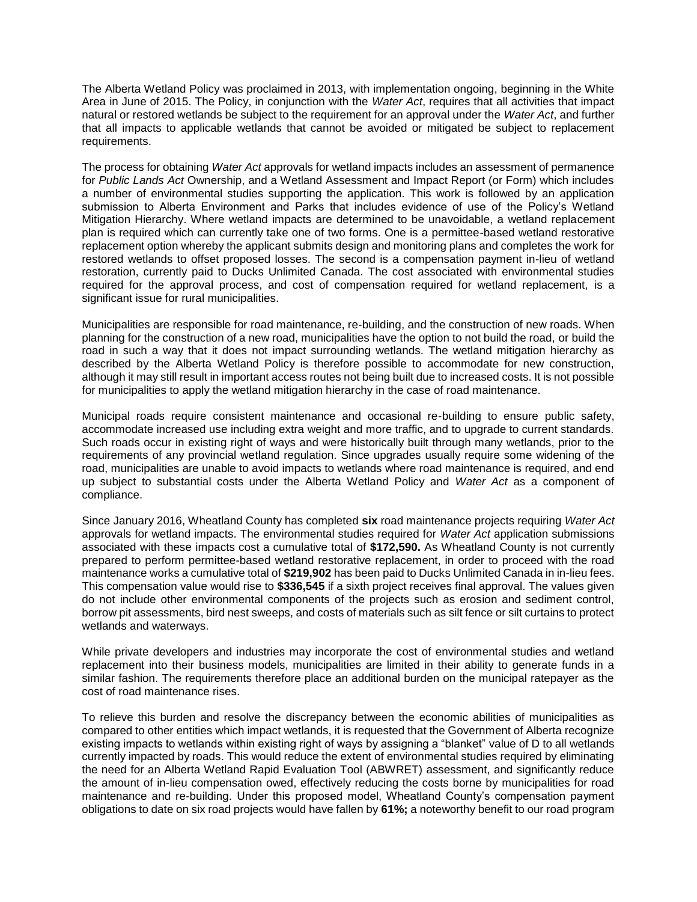The Alberta Wetland Policy was proclaimed in 2013, with implementation ongoing, beginning in the White Area in June of 2015. The Policy, in conjunction with the *Water Act*, requires that all activities that impact natural or restored wetlands be subject to the requirement for an approval under the *Water Act*, and further that all impacts to applicable wetlands that cannot be avoided or mitigated be subject to replacement requirements.

The process for obtaining *Water Act* approvals for wetland impacts includes an assessment of permanence for *Public Lands Act* Ownership, and a Wetland Assessment and Impact Report (or Form) which includes a number of environmental studies supporting the application. This work is followed by an application submission to Alberta Environment and Parks that includes evidence of use of the Policy's Wetland Mitigation Hierarchy. Where wetland impacts are determined to be unavoidable, a wetland replacement plan is required which can currently take one of two forms. One is a permittee-based wetland restorative replacement option whereby the applicant submits design and monitoring plans and completes the work for restored wetlands to offset proposed losses. The second is a compensation payment in-lieu of wetland restoration, currently paid to Ducks Unlimited Canada. The cost associated with environmental studies required for the approval process, and cost of compensation required for wetland replacement, is a significant issue for rural municipalities.

Municipalities are responsible for road maintenance, re-building, and the construction of new roads. When planning for the construction of a new road, municipalities have the option to not build the road, or build the road in such a way that it does not impact surrounding wetlands. The wetland mitigation hierarchy as described by the Alberta Wetland Policy is therefore possible to accommodate for new construction, although it may still result in important access routes not being built due to increased costs. It is not possible for municipalities to apply the wetland mitigation hierarchy in the case of road maintenance.

Municipal roads require consistent maintenance and occasional re-building to ensure public safety, accommodate increased use including extra weight and more traffic, and to upgrade to current standards. Such roads occur in existing right of ways and were historically built through many wetlands, prior to the requirements of any provincial wetland regulation. Since upgrades usually require some widening of the road, municipalities are unable to avoid impacts to wetlands where road maintenance is required, and end up subject to substantial costs under the Alberta Wetland Policy and *Water Act* as a component of compliance.

Since January 2016, Wheatland County has completed **six** road maintenance projects requiring *Water Act* approvals for wetland impacts. The environmental studies required for *Water Act* application submissions associated with these impacts cost a cumulative total of **\$172,590.** As Wheatland County is not currently prepared to perform permittee-based wetland restorative replacement, in order to proceed with the road maintenance works a cumulative total of **\$219,902** has been paid to Ducks Unlimited Canada in in-lieu fees. This compensation value would rise to **\$336,545** if a sixth project receives final approval. The values given do not include other environmental components of the projects such as erosion and sediment control, borrow pit assessments, bird nest sweeps, and costs of materials such as silt fence or silt curtains to protect wetlands and waterways.

While private developers and industries may incorporate the cost of environmental studies and wetland replacement into their business models, municipalities are limited in their ability to generate funds in a similar fashion. The requirements therefore place an additional burden on the municipal ratepayer as the cost of road maintenance rises.

To relieve this burden and resolve the discrepancy between the economic abilities of municipalities as compared to other entities which impact wetlands, it is requested that the Government of Alberta recognize existing impacts to wetlands within existing right of ways by assigning a "blanket" value of D to all wetlands currently impacted by roads. This would reduce the extent of environmental studies required by eliminating the need for an Alberta Wetland Rapid Evaluation Tool (ABWRET) assessment, and significantly reduce the amount of in-lieu compensation owed, effectively reducing the costs borne by municipalities for road maintenance and re-building. Under this proposed model, Wheatland County's compensation payment obligations to date on six road projects would have fallen by **61%;** a noteworthy benefit to our road program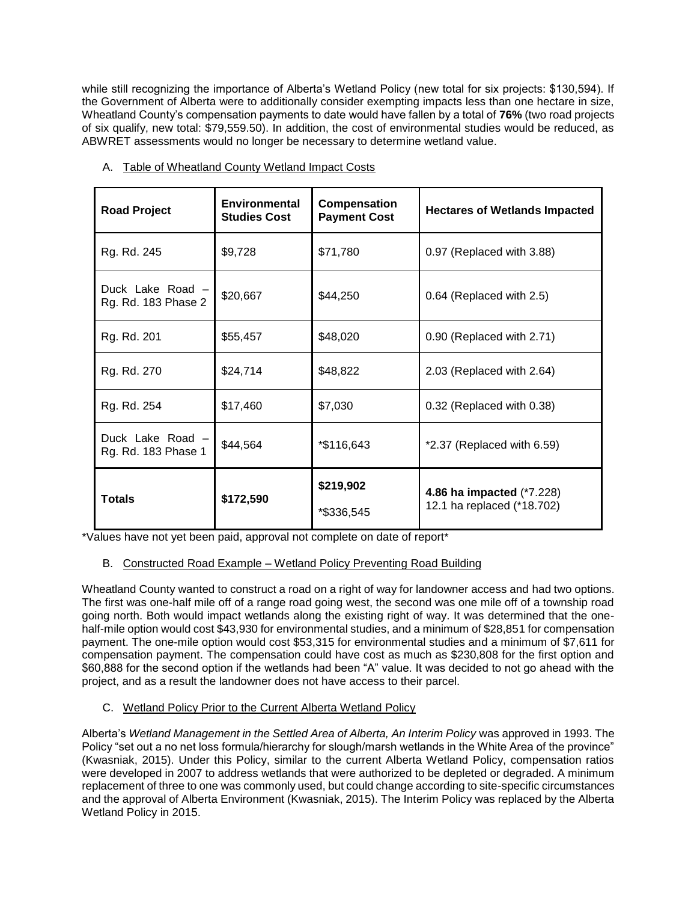while still recognizing the importance of Alberta's Wetland Policy (new total for six projects: \$130,594). If the Government of Alberta were to additionally consider exempting impacts less than one hectare in size, Wheatland County's compensation payments to date would have fallen by a total of **76%** (two road projects of six qualify, new total: \$79,559.50). In addition, the cost of environmental studies would be reduced, as ABWRET assessments would no longer be necessary to determine wetland value.

| <b>Road Project</b>                     | <b>Environmental</b><br><b>Studies Cost</b> | Compensation<br><b>Payment Cost</b> | <b>Hectares of Wetlands Impacted</b>                    |
|-----------------------------------------|---------------------------------------------|-------------------------------------|---------------------------------------------------------|
| Rg. Rd. 245                             | \$9,728                                     | \$71,780                            | 0.97 (Replaced with 3.88)                               |
| Duck Lake Road -<br>Rg. Rd. 183 Phase 2 | \$20,667                                    | \$44,250                            | 0.64 (Replaced with 2.5)                                |
| Rg. Rd. 201                             | \$55,457                                    | \$48,020                            | 0.90 (Replaced with 2.71)                               |
| Rg. Rd. 270                             | \$24,714                                    | \$48,822                            | 2.03 (Replaced with 2.64)                               |
| Rg. Rd. 254                             | \$17,460                                    | \$7,030                             | 0.32 (Replaced with 0.38)                               |
| Duck Lake Road –<br>Rg. Rd. 183 Phase 1 | \$44,564                                    | *\$116,643                          | $*2.37$ (Replaced with 6.59)                            |
| <b>Totals</b>                           | \$172,590                                   | \$219,902<br>*\$336,545             | 4.86 ha impacted (*7.228)<br>12.1 ha replaced (*18.702) |

A. Table of Wheatland County Wetland Impact Costs

\*Values have not yet been paid, approval not complete on date of report\*

# B. Constructed Road Example – Wetland Policy Preventing Road Building

Wheatland County wanted to construct a road on a right of way for landowner access and had two options. The first was one-half mile off of a range road going west, the second was one mile off of a township road going north. Both would impact wetlands along the existing right of way. It was determined that the onehalf-mile option would cost \$43,930 for environmental studies, and a minimum of \$28,851 for compensation payment. The one-mile option would cost \$53,315 for environmental studies and a minimum of \$7,611 for compensation payment. The compensation could have cost as much as \$230,808 for the first option and \$60,888 for the second option if the wetlands had been "A" value. It was decided to not go ahead with the project, and as a result the landowner does not have access to their parcel.

# C. Wetland Policy Prior to the Current Alberta Wetland Policy

Alberta's *Wetland Management in the Settled Area of Alberta, An Interim Policy* was approved in 1993. The Policy "set out a no net loss formula/hierarchy for slough/marsh wetlands in the White Area of the province" (Kwasniak, 2015). Under this Policy, similar to the current Alberta Wetland Policy, compensation ratios were developed in 2007 to address wetlands that were authorized to be depleted or degraded. A minimum replacement of three to one was commonly used, but could change according to site-specific circumstances and the approval of Alberta Environment (Kwasniak, 2015). The Interim Policy was replaced by the Alberta Wetland Policy in 2015.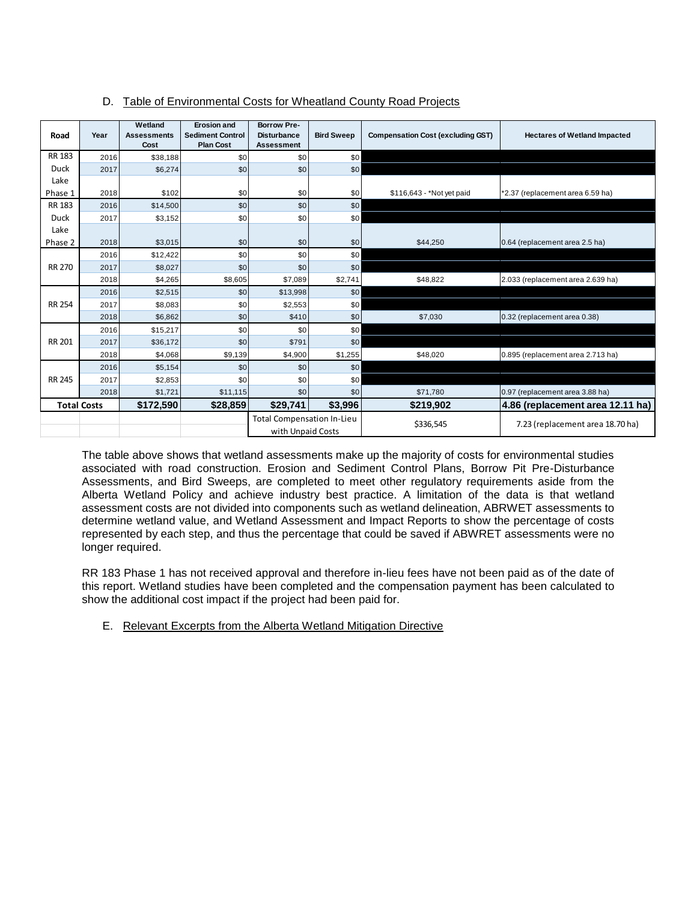|               | D.                 |                    |                         |                                   |                   | Table of Environmental Costs for Wheatland County Road Projects |                                     |
|---------------|--------------------|--------------------|-------------------------|-----------------------------------|-------------------|-----------------------------------------------------------------|-------------------------------------|
|               |                    | Wetland            | <b>Erosion and</b>      | <b>Borrow Pre-</b>                |                   |                                                                 |                                     |
| Road          | Year               | <b>Assessments</b> | <b>Sediment Control</b> | <b>Disturbance</b>                | <b>Bird Sweep</b> | <b>Compensation Cost (excluding GST)</b>                        | <b>Hectares of Wetland Impacted</b> |
|               |                    | Cost               | <b>Plan Cost</b>        | <b>Assessment</b>                 |                   |                                                                 |                                     |
| <b>RR 183</b> | 2016               | \$38,188           | \$0                     | \$0                               | \$0               |                                                                 |                                     |
| Duck          | 2017               | \$6,274            | \$0                     | \$0                               | \$0               |                                                                 |                                     |
| Lake          |                    |                    |                         |                                   |                   |                                                                 |                                     |
| Phase 1       | 2018               | \$102              | \$0                     | \$0                               | \$0               | \$116,643 - *Not yet paid                                       | *2.37 (replacement area 6.59 ha)    |
| <b>RR 183</b> | 2016               | \$14,500           | \$0                     | \$0                               | \$0               |                                                                 |                                     |
| <b>Duck</b>   | 2017               | \$3,152            | \$0                     | \$0                               | \$0               |                                                                 |                                     |
| Lake          |                    |                    |                         |                                   |                   |                                                                 |                                     |
| Phase 2       | 2018               | \$3,015            | \$0                     | \$0                               | \$0               | \$44,250                                                        | 0.64 (replacement area 2.5 ha)      |
| <b>RR 270</b> | 2016               | \$12,422           | \$0                     | \$0                               | \$0               |                                                                 |                                     |
|               | 2017               | \$8,027            | \$0                     | \$0                               | \$0               |                                                                 |                                     |
|               | 2018               | \$4,265            | \$8,605                 | \$7,089                           | \$2,741           | \$48,822                                                        | 2.033 (replacement area 2.639 ha)   |
|               | 2016               | \$2,515            | \$0                     | \$13,998                          | \$0               |                                                                 |                                     |
| <b>RR 254</b> | 2017               | \$8,083            | \$0                     | \$2,553                           | \$0               |                                                                 |                                     |
|               | 2018               | \$6,862            | \$0                     | \$410                             | \$0               | \$7,030                                                         | 0.32 (replacement area 0.38)        |
|               | 2016               | \$15,217           | \$0                     | \$0                               | \$0               |                                                                 |                                     |
| RR 201        | 2017               | \$36,172           | \$0                     | \$791                             | \$0               |                                                                 |                                     |
|               | 2018               | \$4,068            | \$9,139                 | \$4,900                           | \$1,255           | \$48,020                                                        | 0.895 (replacement area 2.713 ha)   |
| <b>RR 245</b> | 2016               | \$5,154            | \$0                     | \$0                               | \$0               |                                                                 |                                     |
|               | 2017               | \$2,853            | \$0                     | \$0                               | \$0               |                                                                 |                                     |
|               | 2018               | \$1,721            | \$11,115                | \$0                               | \$0               | \$71,780                                                        | 0.97 (replacement area 3.88 ha)     |
|               | <b>Total Costs</b> | \$172,590          | \$28,859                | \$29,741                          | \$3,996           | \$219,902                                                       | 4.86 (replacement area 12.11 ha)    |
|               |                    |                    |                         | <b>Total Compensation In-Lieu</b> |                   | \$336,545                                                       | 7.23 (replacement area 18.70 ha)    |
|               |                    |                    |                         | with Unpaid Costs                 |                   |                                                                 |                                     |

The table above shows that wetland assessments make up the majority of costs for environmental studies associated with road construction. Erosion and Sediment Control Plans, Borrow Pit Pre-Disturbance Assessments, and Bird Sweeps, are completed to meet other regulatory requirements aside from the Alberta Wetland Policy and achieve industry best practice. A limitation of the data is that wetland assessment costs are not divided into components such as wetland delineation, ABRWET assessments to determine wetland value, and Wetland Assessment and Impact Reports to show the percentage of costs represented by each step, and thus the percentage that could be saved if ABWRET assessments were no longer required.

RR 183 Phase 1 has not received approval and therefore in-lieu fees have not been paid as of the date of this report. Wetland studies have been completed and the compensation payment has been calculated to show the additional cost impact if the project had been paid for.

# E. Relevant Excerpts from the Alberta Wetland Mitigation Directive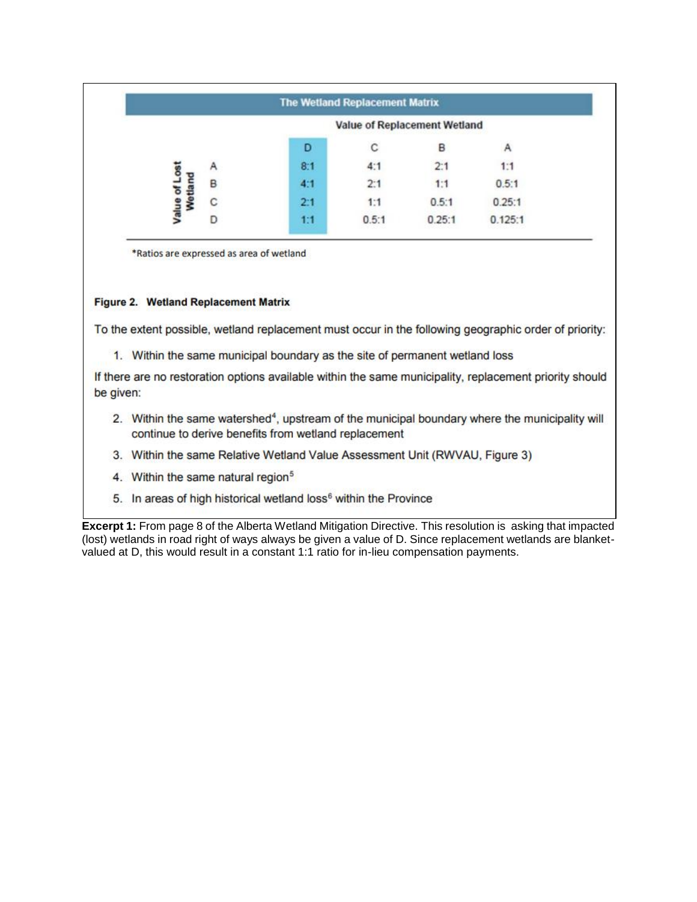|   |                              |     | The Wetland Replacement Matrix |        |         |
|---|------------------------------|-----|--------------------------------|--------|---------|
|   | Value of Replacement Wetland |     |                                |        |         |
|   |                              | D   | С                              | в      | Α       |
|   | Α                            | 8:1 |                                | 2:1    | 1:1     |
| £ | B                            | 4:1 | 2:1                            | 1:1    | 0.5:1   |
|   | С                            | 2:1 | 1:1                            | 0.5:1  | 0.25:1  |
|   |                              | 1:1 | 0.5:1                          | 0.25:1 | 0.125:1 |

\*Ratios are expressed as area of wetland

# Figure 2. Wetland Replacement Matrix

To the extent possible, wetland replacement must occur in the following geographic order of priority:

1. Within the same municipal boundary as the site of permanent wetland loss

If there are no restoration options available within the same municipality, replacement priority should be given:

- 2. Within the same watershed<sup>4</sup>, upstream of the municipal boundary where the municipality will continue to derive benefits from wetland replacement
- 3. Within the same Relative Wetland Value Assessment Unit (RWVAU, Figure 3)
- 4. Within the same natural region<sup>5</sup>
- 5. In areas of high historical wetland loss<sup>6</sup> within the Province

**Excerpt 1:** From page 8 of the Alberta Wetland Mitigation Directive. This resolution is asking that impacted (lost) wetlands in road right of ways always be given a value of D. Since replacement wetlands are blanketvalued at D, this would result in a constant 1:1 ratio for in-lieu compensation payments.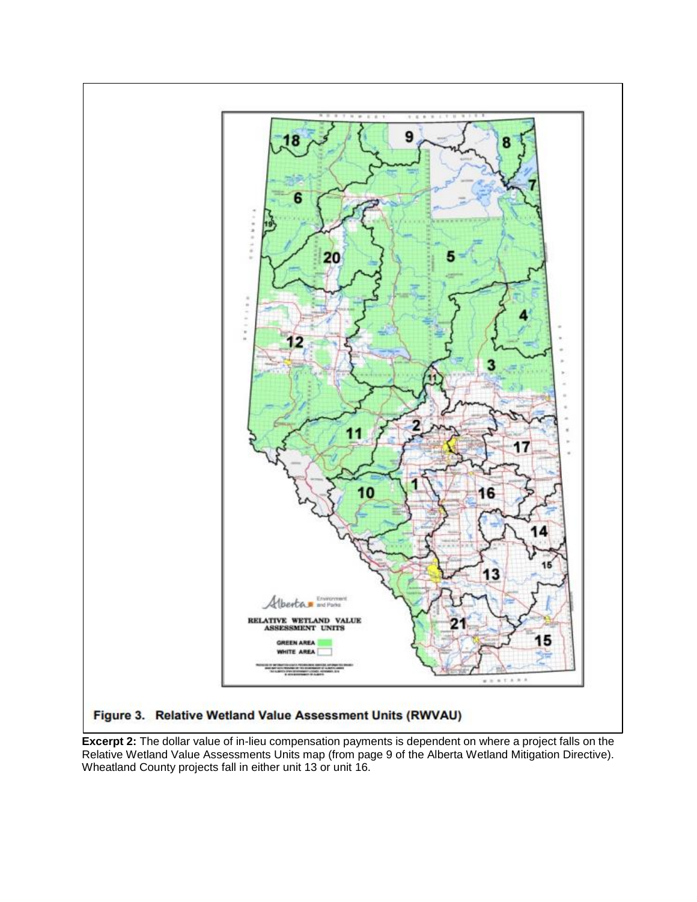

**Excerpt 2:** The dollar value of in-lieu compensation payments is dependent on where a project falls on the Relative Wetland Value Assessments Units map (from page 9 of the Alberta Wetland Mitigation Directive). Wheatland County projects fall in either unit 13 or unit 16.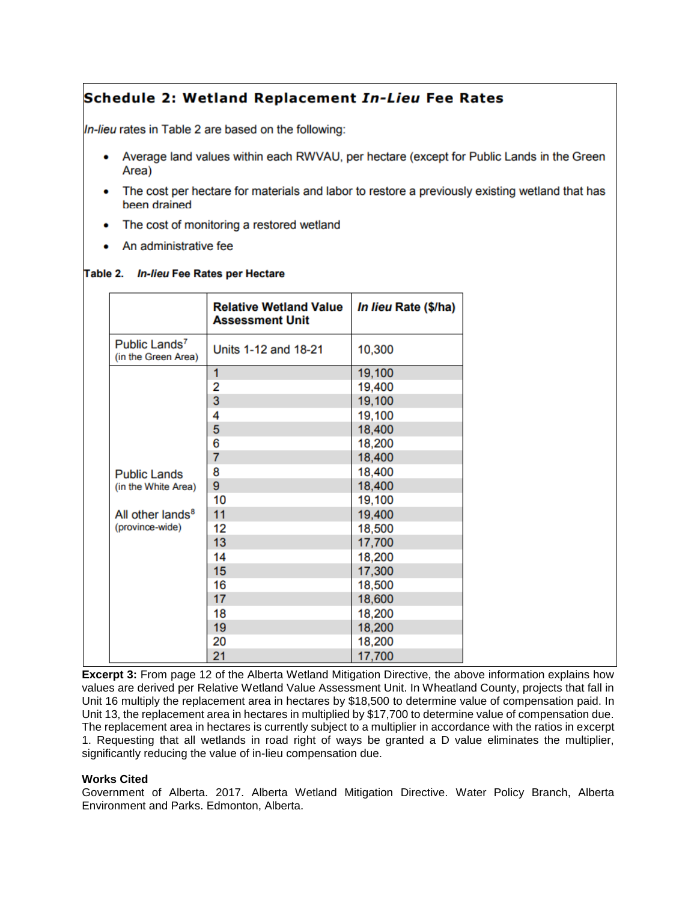# Schedule 2: Wetland Replacement In-Lieu Fee Rates

In-lieu rates in Table 2 are based on the following:

- Average land values within each RWVAU, per hectare (except for Public Lands in the Green Area)
- The cost per hectare for materials and labor to restore a previously existing wetland that has  $\bullet$ been drained
- The cost of monitoring a restored wetland
- An administrative fee

#### Table 2. In-lieu Fee Rates per Hectare

|                                                  | <b>Relative Wetland Value</b><br><b>Assessment Unit</b> | In lieu Rate (\$/ha) |
|--------------------------------------------------|---------------------------------------------------------|----------------------|
| Public Lands <sup>7</sup><br>(in the Green Area) | Units 1-12 and 18-21                                    | 10,300               |
|                                                  | 1                                                       | 19,100               |
|                                                  | 2                                                       | 19,400               |
|                                                  | 3                                                       | 19,100               |
|                                                  | 4                                                       | 19,100               |
|                                                  | 5                                                       | 18,400               |
|                                                  | 6                                                       | 18,200               |
|                                                  | $\overline{7}$                                          | 18,400               |
| <b>Public Lands</b>                              | 8                                                       | 18,400               |
| (in the White Area)                              | 9                                                       | 18,400               |
|                                                  | 10                                                      | 19,100               |
| All other lands <sup>8</sup>                     | 11                                                      | 19,400               |
| (province-wide)                                  | 12                                                      | 18,500               |
|                                                  | 13                                                      | 17,700               |
|                                                  | 14                                                      | 18,200               |
|                                                  | 15                                                      | 17,300               |
|                                                  | 16                                                      | 18,500               |
|                                                  | 17                                                      | 18,600               |
|                                                  | 18                                                      | 18,200               |
|                                                  | 19                                                      | 18,200               |
|                                                  | 20                                                      | 18,200               |
|                                                  | 21                                                      | 17,700               |

**Excerpt 3:** From page 12 of the Alberta Wetland Mitigation Directive, the above information explains how values are derived per Relative Wetland Value Assessment Unit. In Wheatland County, projects that fall in Unit 16 multiply the replacement area in hectares by \$18,500 to determine value of compensation paid. In Unit 13, the replacement area in hectares in multiplied by \$17,700 to determine value of compensation due. The replacement area in hectares is currently subject to a multiplier in accordance with the ratios in excerpt 1. Requesting that all wetlands in road right of ways be granted a D value eliminates the multiplier, significantly reducing the value of in-lieu compensation due.

#### **Works Cited**

Government of Alberta. 2017. Alberta Wetland Mitigation Directive. Water Policy Branch, Alberta Environment and Parks. Edmonton, Alberta.